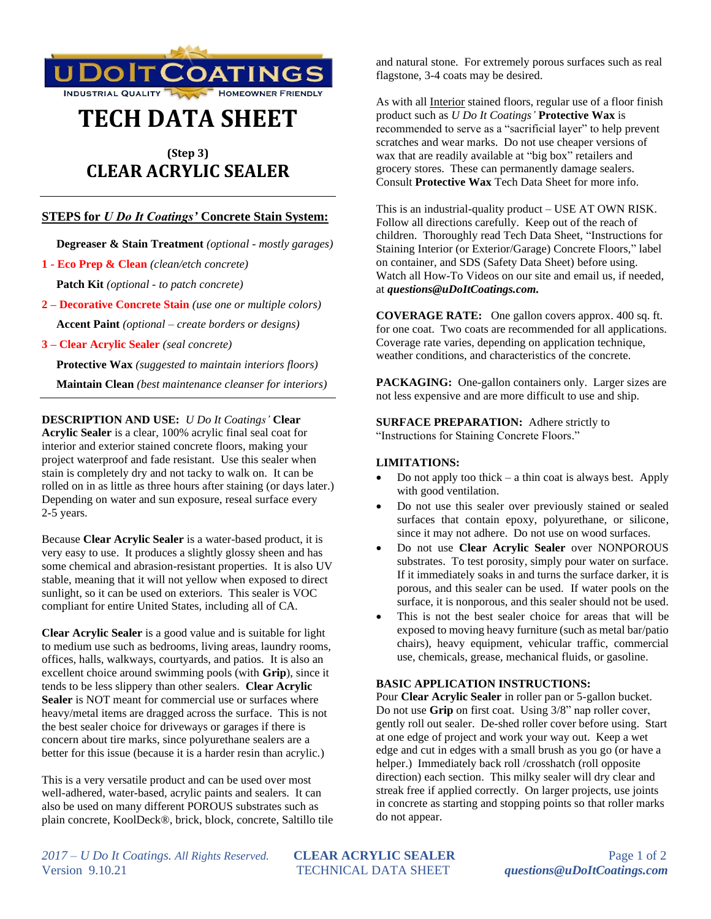

# **TECH DATA SHEET**

# **(Step 3) CLEAR ACRYLIC SEALER**

# **STEPS for** *U Do It Coatings'* **Concrete Stain System:**

 **Degreaser & Stain Treatment** *(optional - mostly garages)*

**1 - Eco Prep & Clean** *(clean/etch concrete)*

 **Patch Kit** *(optional - to patch concrete)*

**2 – Decorative Concrete Stain** *(use one or multiple colors)*  **Accent Paint** *(optional – create borders or designs)*

**3 – Clear Acrylic Sealer** *(seal concrete)*

 **Protective Wax** *(suggested to maintain interiors floors)*

 **Maintain Clean** *(best maintenance cleanser for interiors)*

**DESCRIPTION AND USE:** *U Do It Coatings'* **Clear Acrylic Sealer** is a clear, 100% acrylic final seal coat for interior and exterior stained concrete floors, making your project waterproof and fade resistant. Use this sealer when stain is completely dry and not tacky to walk on. It can be rolled on in as little as three hours after staining (or days later.) Depending on water and sun exposure, reseal surface every 2-5 years.

Because **Clear Acrylic Sealer** is a water-based product, it is very easy to use. It produces a slightly glossy sheen and has some chemical and abrasion-resistant properties. It is also UV stable, meaning that it will not yellow when exposed to direct sunlight, so it can be used on exteriors. This sealer is VOC compliant for entire United States, including all of CA.

**Clear Acrylic Sealer** is a good value and is suitable for light to medium use such as bedrooms, living areas, laundry rooms, offices, halls, walkways, courtyards, and patios. It is also an excellent choice around swimming pools (with **Grip**), since it tends to be less slippery than other sealers. **Clear Acrylic Sealer** is NOT meant for commercial use or surfaces where heavy/metal items are dragged across the surface. This is not the best sealer choice for driveways or garages if there is concern about tire marks, since polyurethane sealers are a better for this issue (because it is a harder resin than acrylic.)

This is a very versatile product and can be used over most well-adhered, water-based, acrylic paints and sealers. It can also be used on many different POROUS substrates such as plain concrete, KoolDeck®, brick, block, concrete, Saltillo tile and natural stone. For extremely porous surfaces such as real flagstone, 3-4 coats may be desired.

As with all **Interior** stained floors, regular use of a floor finish product such as *U Do It Coatings'* **Protective Wax** is recommended to serve as a "sacrificial layer" to help prevent scratches and wear marks. Do not use cheaper versions of wax that are readily available at "big box" retailers and grocery stores. These can permanently damage sealers. Consult **Protective Wax** Tech Data Sheet for more info.

This is an industrial-quality product – USE AT OWN RISK. Follow all directions carefully. Keep out of the reach of children. Thoroughly read Tech Data Sheet, "Instructions for Staining Interior (or Exterior/Garage) Concrete Floors," label on container, and SDS (Safety Data Sheet) before using. Watch all How-To Videos on our site and email us, if needed, at *questions@uDoItCoatings.com.*

**COVERAGE RATE:** One gallon covers approx. 400 sq. ft. for one coat. Two coats are recommended for all applications. Coverage rate varies, depending on application technique, weather conditions, and characteristics of the concrete.

PACKAGING: One-gallon containers only. Larger sizes are not less expensive and are more difficult to use and ship.

**SURFACE PREPARATION:** Adhere strictly to "Instructions for Staining Concrete Floors."

### **LIMITATIONS:**

- Do not apply too thick  $-$  a thin coat is always best. Apply with good ventilation.
- Do not use this sealer over previously stained or sealed surfaces that contain epoxy, polyurethane, or silicone, since it may not adhere. Do not use on wood surfaces.
- Do not use **Clear Acrylic Sealer** over NONPOROUS substrates. To test porosity, simply pour water on surface. If it immediately soaks in and turns the surface darker, it is porous, and this sealer can be used. If water pools on the surface, it is nonporous, and this sealer should not be used.
- This is not the best sealer choice for areas that will be exposed to moving heavy furniture (such as metal bar/patio chairs), heavy equipment, vehicular traffic, commercial use, chemicals, grease, mechanical fluids, or gasoline.

## **BASIC APPLICATION INSTRUCTIONS:**

Pour **Clear Acrylic Sealer** in roller pan or 5-gallon bucket. Do not use **Grip** on first coat. Using 3/8" nap roller cover, gently roll out sealer. De-shed roller cover before using. Start at one edge of project and work your way out. Keep a wet edge and cut in edges with a small brush as you go (or have a helper.) Immediately back roll /crosshatch (roll opposite direction) each section. This milky sealer will dry clear and streak free if applied correctly. On larger projects, use joints in concrete as starting and stopping points so that roller marks do not appear.

*2017 – U Do It Coatings. All Rights Reserved.* **CLEAR ACRYLIC SEALER** Page 1 of 2 Version 9.10.21 TECHNICAL DATA SHEET *questions@uDoItCoatings.com*